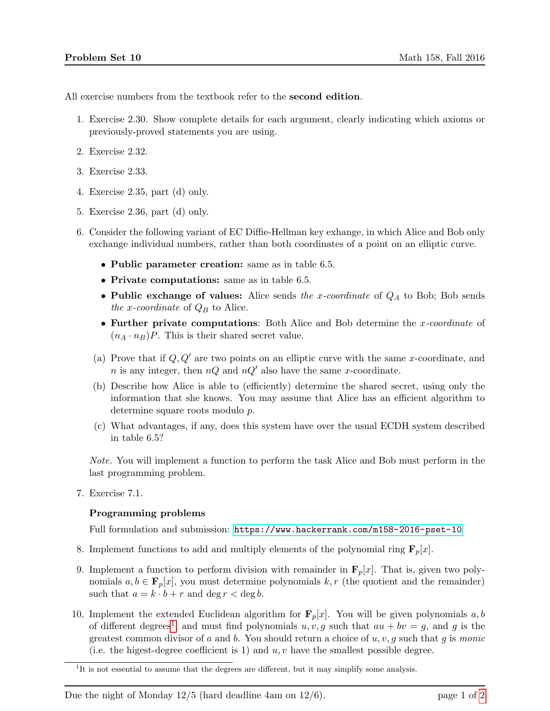All exercise numbers from the textbook refer to the second edition.

- 1. Exercise 2.30. Show complete details for each argument, clearly indicating which axioms or previously-proved statements you are using.
- 2. Exercise 2.32.
- 3. Exercise 2.33.
- 4. Exercise 2.35, part (d) only.
- 5. Exercise 2.36, part (d) only.
- <span id="page-0-1"></span>6. Consider the following variant of EC Diffie-Hellman key exhange, in which Alice and Bob only exchange individual numbers, rather than both coordinates of a point on an elliptic curve.
	- Public parameter creation: same as in table 6.5.
	- Private computations: same as in table 6.5.
	- Public exchange of values: Alice sends the x-coordinate of  $Q_A$  to Bob; Bob sends the x-coordinate of  $Q_B$  to Alice.
	- Further private computations: Both Alice and Bob determine the x-coordinate of  $(n_A \cdot n_B)P$ . This is their shared secret value.
	- (a) Prove that if  $Q, Q'$  are two points on an elliptic curve with the same x-coordinate, and n is any integer, then  $nQ$  and  $nQ'$  also have the same x-coordinate.
	- (b) Describe how Alice is able to (efficiently) determine the shared secret, using only the information that she knows. You may assume that Alice has an efficient algorithm to determine square roots modulo p.
	- (c) What advantages, if any, does this system have over the usual ECDH system described in table 6.5?

Note. You will implement a function to perform the task Alice and Bob must perform in the last programming problem.

7. Exercise 7.1.

## Programming problems

Full formulation and submission: <https://www.hackerrank.com/m158-2016-pset-10>

- 8. Implement functions to add and multiply elements of the polynomial ring  $\mathbf{F}_p[x]$ .
- 9. Implement a function to perform division with remainder in  $\mathbf{F}_p[x]$ . That is, given two polynomials  $a, b \in \mathbf{F}_p[x]$ , you must determine polynomials k, r (the quotient and the remainder) such that  $a = k \cdot b + r$  and deg  $r < \deg b$ .
- 10. Implement the extended Euclidean algorithm for  $\mathbf{F}_p[x]$ . You will be given polynomials a, b of different degrees<sup>[1](#page-0-0)</sup>, and must find polynomials  $u, v, g$  such that  $au + bv = g$ , and g is the greatest common divisor of a and b. You should return a choice of  $u, v, g$  such that g is monic (i.e. the higest-degree coefficient is 1) and  $u, v$  have the smallest possible degree.

Due the night of Monday  $12/5$  (hard deadline 4am on  $12/6$ ). page 1 of [2](#page-1-0)

<span id="page-0-0"></span><sup>&</sup>lt;sup>1</sup>It is not essential to assume that the degrees are different, but it may simplify some analysis.